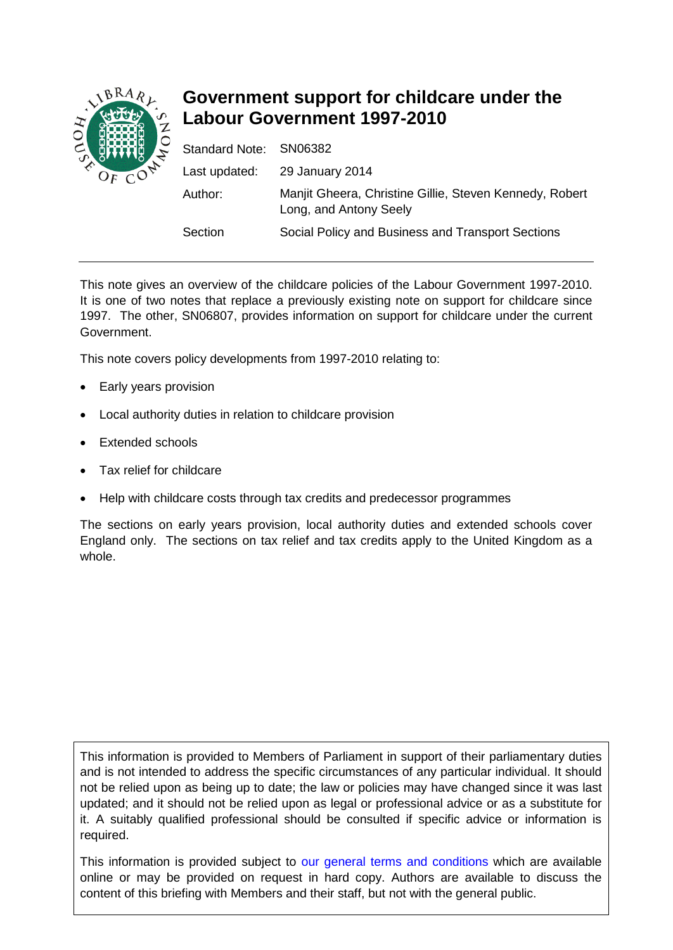

# **Government support for childcare under the Labour Government 1997-2010**

| Standard Note: SN06382 |                                                                                   |
|------------------------|-----------------------------------------------------------------------------------|
|                        | Last updated: 29 January 2014                                                     |
| Author:                | Manjit Gheera, Christine Gillie, Steven Kennedy, Robert<br>Long, and Antony Seely |
| Section                | Social Policy and Business and Transport Sections                                 |

This note gives an overview of the childcare policies of the Labour Government 1997-2010. It is one of two notes that replace a previously existing note on support for childcare since 1997. The other, SN06807, provides information on support for childcare under the current Government.

This note covers policy developments from 1997-2010 relating to:

- Early years provision
- Local authority duties in relation to childcare provision
- **Extended schools**
- Tax relief for childcare
- Help with childcare costs through tax credits and predecessor programmes

The sections on early years provision, local authority duties and extended schools cover England only. The sections on tax relief and tax credits apply to the United Kingdom as a whole.

This information is provided to Members of Parliament in support of their parliamentary duties and is not intended to address the specific circumstances of any particular individual. It should not be relied upon as being up to date; the law or policies may have changed since it was last updated; and it should not be relied upon as legal or professional advice or as a substitute for it. A suitably qualified professional should be consulted if specific advice or information is required.

This information is provided subject to [our general terms and conditions](http://www.parliament.uk/site-information/copyright/) which are available online or may be provided on request in hard copy. Authors are available to discuss the content of this briefing with Members and their staff, but not with the general public.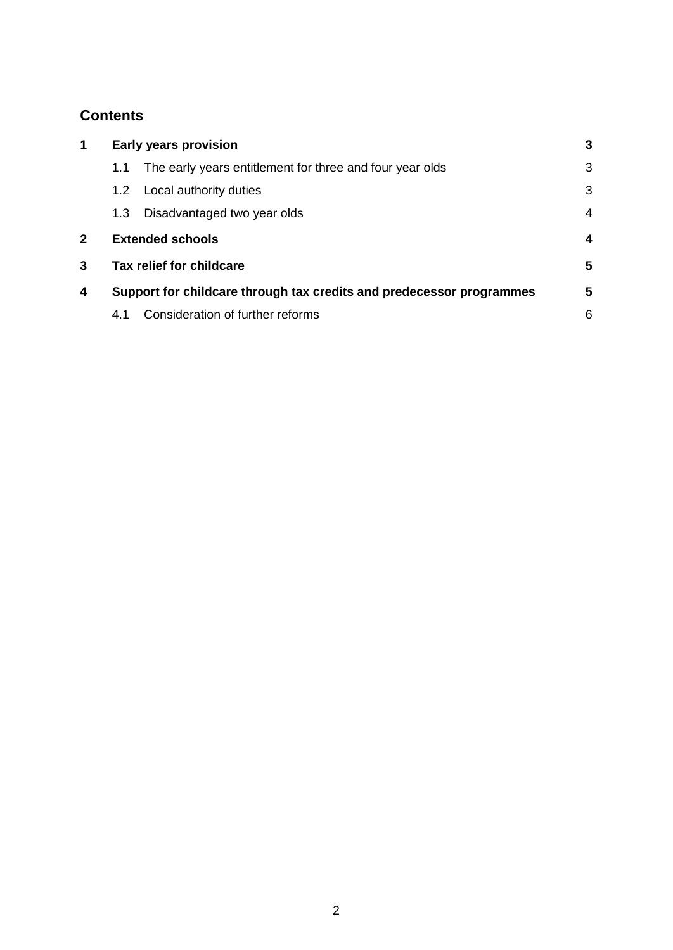# **Contents**

| $\mathbf 1$  | <b>Early years provision</b>                                         |                                                          |                         |
|--------------|----------------------------------------------------------------------|----------------------------------------------------------|-------------------------|
|              | 1.1                                                                  | The early years entitlement for three and four year olds | 3                       |
|              | 1.2 <sub>1</sub>                                                     | Local authority duties                                   | 3                       |
|              | 1.3                                                                  | Disadvantaged two year olds                              | $\overline{4}$          |
| $\mathbf{2}$ | <b>Extended schools</b>                                              |                                                          | $\overline{\mathbf{4}}$ |
| 3            | Tax relief for childcare                                             |                                                          | 5                       |
| 4            | Support for childcare through tax credits and predecessor programmes |                                                          | 5                       |
|              | 4.1                                                                  | Consideration of further reforms                         | 6                       |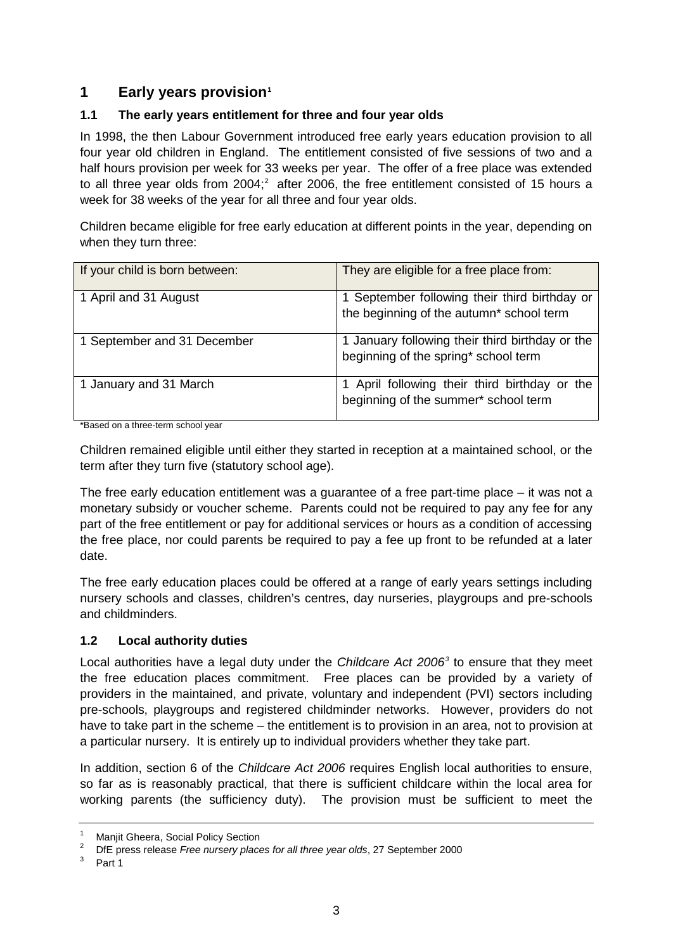# **1 Early years provision[1](#page-2-0)**

### **1.1 The early years entitlement for three and four year olds**

In 1998, the then Labour Government introduced free early years education provision to all four year old children in England. The entitlement consisted of five sessions of two and a half hours provision per week for 33 weeks per year. The offer of a free place was extended to all three year olds from [2](#page-2-1)004;<sup>2</sup> after 2006, the free entitlement consisted of 15 hours a week for 38 weeks of the year for all three and four year olds.

Children became eligible for free early education at different points in the year, depending on when they turn three:

| If your child is born between: | They are eligible for a free place from:                                                  |  |  |
|--------------------------------|-------------------------------------------------------------------------------------------|--|--|
| 1 April and 31 August          | 1 September following their third birthday or<br>the beginning of the autumn* school term |  |  |
| 1 September and 31 December    | 1 January following their third birthday or the<br>beginning of the spring* school term   |  |  |
| 1 January and 31 March         | 1 April following their third birthday or the<br>beginning of the summer* school term     |  |  |

\*Based on a three-term school year

Children remained eligible until either they started in reception at a maintained school, or the term after they turn five (statutory school age).

The free early education entitlement was a guarantee of a free part-time place – it was not a monetary subsidy or voucher scheme. Parents could not be required to pay any fee for any part of the free entitlement or pay for additional services or hours as a condition of accessing the free place, nor could parents be required to pay a fee up front to be refunded at a later date.

The free early education places could be offered at a range of early years settings including nursery schools and classes, children's centres, day nurseries, playgroups and pre-schools and childminders.

### **1.2 Local authority duties**

Local authorities have a legal duty under the *Childcare Act 2006[3](#page-2-2)* to ensure that they meet the free education places commitment. Free places can be provided by a variety of providers in the maintained, and private, voluntary and independent (PVI) sectors including pre-schools, playgroups and registered childminder networks. However, providers do not have to take part in the scheme – the entitlement is to provision in an area, not to provision at a particular nursery. It is entirely up to individual providers whether they take part.

In addition, section 6 of the *Childcare Act 2006* requires English local authorities to ensure, so far as is reasonably practical, that there is sufficient childcare within the local area for working parents (the sufficiency duty). The provision must be sufficient to meet the

<span id="page-2-0"></span><sup>&</sup>lt;sup>1</sup> Manjit Gheera, Social Policy Section

<span id="page-2-2"></span><span id="page-2-1"></span><sup>&</sup>lt;sup>2</sup> DfE press release *Free nursery places for all three year olds*, 27 September 2000

Part 1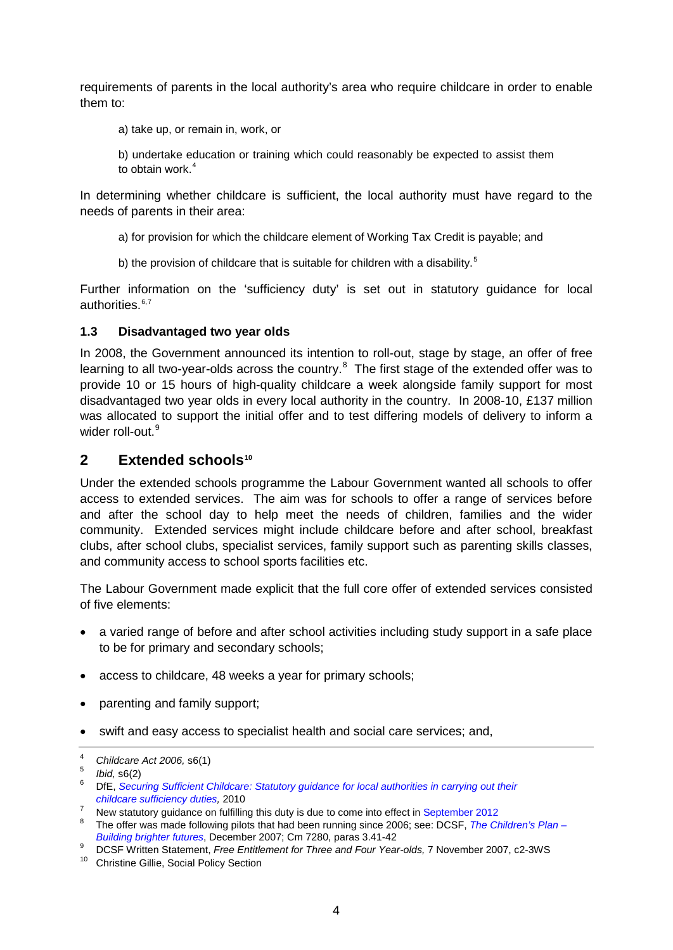requirements of parents in the local authority's area who require childcare in order to enable them to:

- a) take up, or remain in, work, or
- b) undertake education or training which could reasonably be expected to assist them to obtain work.<sup>[4](#page-3-0)</sup>

In determining whether childcare is sufficient, the local authority must have regard to the needs of parents in their area:

- a) for provision for which the childcare element of Working Tax Credit is payable; and
- b) the provision of childcare that is suitable for children with a disability.<sup>[5](#page-3-1)</sup>

Further information on the 'sufficiency duty' is set out in statutory guidance for local authorities. $6,7$  $6,7$ 

#### **1.3 Disadvantaged two year olds**

In 2008, the Government announced its intention to roll-out, stage by stage, an offer of free learning to all two-year-olds across the country.<sup>[8](#page-3-4)</sup> The first stage of the extended offer was to provide 10 or 15 hours of high-quality childcare a week alongside family support for most disadvantaged two year olds in every local authority in the country. In 2008-10, £137 million was allocated to support the initial offer and to test differing models of delivery to inform a wider roll-out.<sup>[9](#page-3-5)</sup>

### **2 Extended schools[10](#page-3-6)**

Under the extended schools programme the Labour Government wanted all schools to offer access to extended services. The aim was for schools to offer a range of services before and after the school day to help meet the needs of children, families and the wider community. Extended services might include childcare before and after school, breakfast clubs, after school clubs, specialist services, family support such as parenting skills classes, and community access to school sports facilities etc.

The Labour Government made explicit that the full core offer of extended services consisted of five elements:

- a varied range of before and after school activities including study support in a safe place to be for primary and secondary schools;
- access to childcare, 48 weeks a year for primary schools;
- parenting and family support;
- swift and easy access to specialist health and social care services; and,

<span id="page-3-0"></span><sup>4</sup> *Childcare Act 2006,* s6(1)

<span id="page-3-2"></span><span id="page-3-1"></span> $\frac{5}{6}$  *Ibid,* s6(2)

<sup>6</sup> DfE, *[Securing Sufficient Childcare: Statutory guidance for local authorities in carrying out their](https://www.education.gov.uk/publications/eOrderingDownload/DCSF-00274-2010.PDF) [childcare sufficiency duties,](https://www.education.gov.uk/publications/eOrderingDownload/DCSF-00274-2010.PDF)* 2010

<span id="page-3-3"></span><sup>&</sup>lt;sup>7</sup> New statutory guidance on fulfilling this duty is due to come into effect in [September 2012](http://media.education.gov.uk/assets/files/pdf/s/statutory%20guidance.pdf)

<span id="page-3-4"></span><sup>8</sup> The offer was made following pilots that had been running since 2006; see: DCSF, *[The Children's Plan –](http://www.dcsf.gov.uk/childrensplan/downloads/The_Childrens_Plan.pdf) [Building brighter futures](http://www.dcsf.gov.uk/childrensplan/downloads/The_Childrens_Plan.pdf)*, December 2007; Cm 7280, paras 3.41-42

<span id="page-3-5"></span><sup>9</sup> DCSF Written Statement, *Free Entitlement for Three and Four Year-olds,* 7 November 2007, c2-3WS

<span id="page-3-6"></span><sup>10</sup> Christine Gillie, Social Policy Section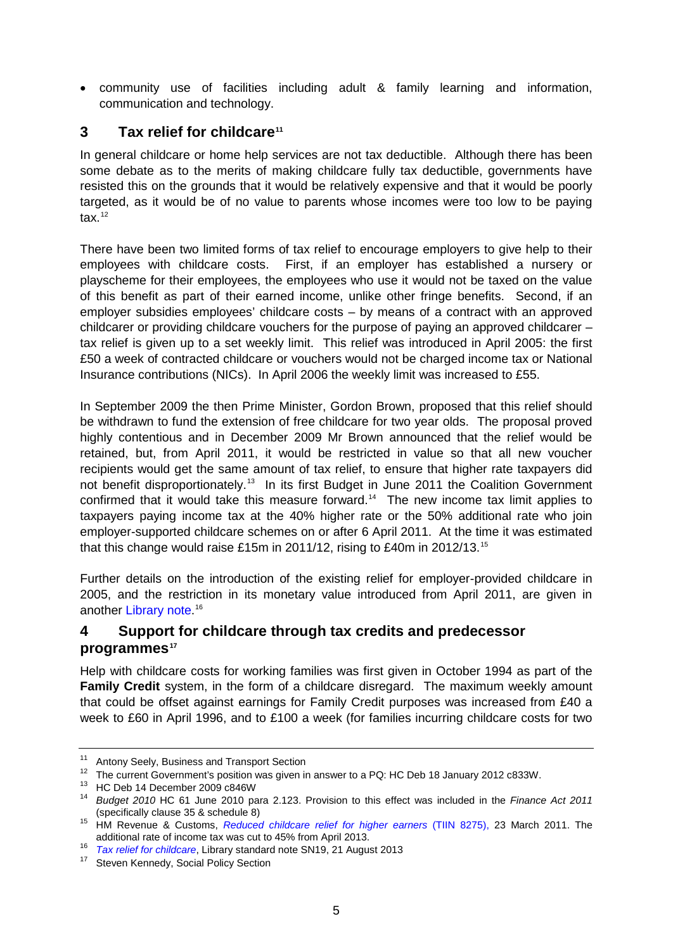• community use of facilities including adult & family learning and information, communication and technology.

# **3 Tax relief for childcare[11](#page-4-0)**

In general childcare or home help services are not tax deductible. Although there has been some debate as to the merits of making childcare fully tax deductible, governments have resisted this on the grounds that it would be relatively expensive and that it would be poorly targeted, as it would be of no value to parents whose incomes were too low to be paying tax $^{12}$  $^{12}$  $^{12}$ 

There have been two limited forms of tax relief to encourage employers to give help to their employees with childcare costs. First, if an employer has established a nursery or playscheme for their employees, the employees who use it would not be taxed on the value of this benefit as part of their earned income, unlike other fringe benefits. Second, if an employer subsidies employees' childcare costs – by means of a contract with an approved childcarer or providing childcare vouchers for the purpose of paying an approved childcarer – tax relief is given up to a set weekly limit. This relief was introduced in April 2005: the first £50 a week of contracted childcare or vouchers would not be charged income tax or National Insurance contributions (NICs). In April 2006 the weekly limit was increased to £55.

In September 2009 the then Prime Minister, Gordon Brown, proposed that this relief should be withdrawn to fund the extension of free childcare for two year olds. The proposal proved highly contentious and in December 2009 Mr Brown announced that the relief would be retained, but, from April 2011, it would be restricted in value so that all new voucher recipients would get the same amount of tax relief, to ensure that higher rate taxpayers did not benefit disproportionately.<sup>13</sup> In its first Budget in June 2011 the Coalition Government confirmed that it would take this measure forward.<sup>[14](#page-4-3)</sup> The new income tax limit applies to taxpayers paying income tax at the 40% higher rate or the 50% additional rate who join employer-supported childcare schemes on or after 6 April 2011. At the time it was estimated that this change would raise £15m in 2011/12, rising to £40m in 2012/13.[15](#page-4-4)

Further details on the introduction of the existing relief for employer-provided childcare in 2005, and the restriction in its monetary value introduced from April 2011, are given in another [Library note.](http://www.parliament.uk/briefing-papers/SN00019)<sup>[16](#page-4-5)</sup>

## **4 Support for childcare through tax credits and predecessor programmes[17](#page-4-6)**

Help with childcare costs for working families was first given in October 1994 as part of the **Family Credit** system, in the form of a childcare disregard. The maximum weekly amount that could be offset against earnings for Family Credit purposes was increased from £40 a week to £60 in April 1996, and to £100 a week (for families incurring childcare costs for two

<span id="page-4-0"></span><sup>&</sup>lt;sup>11</sup> Antony Seely, Business and Transport Section

<span id="page-4-2"></span><span id="page-4-1"></span><sup>&</sup>lt;sup>12</sup> The current Government's position was given in answer to a PQ: HC Deb 18 January 2012 c833W.<br><sup>13</sup> HC Deb 14 December 2009 c846W

<span id="page-4-3"></span><sup>&</sup>lt;sup>14</sup> Budget 2010 HC 61 June 2010 para 2.123. Provision to this effect was included in the *Finance Act 2011* (specifically clause 35 & schedule 8)

<span id="page-4-4"></span><sup>15</sup> HM Revenue & Customs, *[Reduced childcare relief for higher earners](http://www.hmrc.gov.uk/budget2011/tiin8275.pdf)* (TIIN 8275), 23 March 2011. The additional rate of income tax was cut to 45% from April 2013.

<span id="page-4-5"></span><sup>16</sup> *[Tax relief for childcare](http://www.parliament.uk/briefing-papers/SN00019)*, Library standard note SN19, 21 August 2013

<span id="page-4-6"></span><sup>&</sup>lt;sup>17</sup> Steven Kennedy, Social Policy Section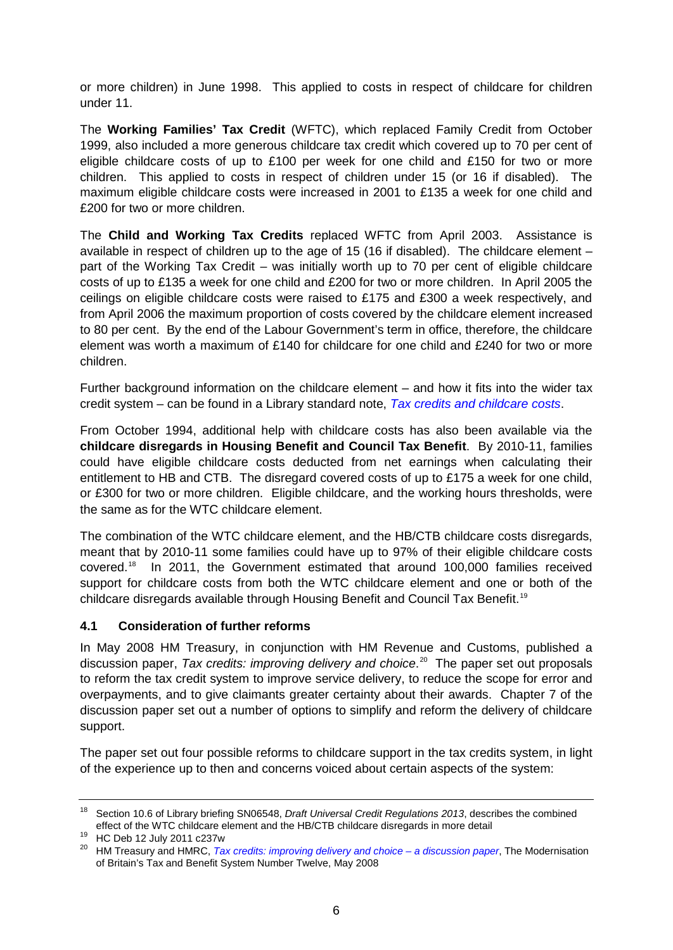or more children) in June 1998. This applied to costs in respect of childcare for children under 11.

The **Working Families' Tax Credit** (WFTC), which replaced Family Credit from October 1999, also included a more generous childcare tax credit which covered up to 70 per cent of eligible childcare costs of up to £100 per week for one child and £150 for two or more children. This applied to costs in respect of children under 15 (or 16 if disabled). The maximum eligible childcare costs were increased in 2001 to £135 a week for one child and £200 for two or more children.

The **Child and Working Tax Credits** replaced WFTC from April 2003. Assistance is available in respect of children up to the age of 15 (16 if disabled). The childcare element – part of the Working Tax Credit – was initially worth up to 70 per cent of eligible childcare costs of up to £135 a week for one child and £200 for two or more children. In April 2005 the ceilings on eligible childcare costs were raised to £175 and £300 a week respectively, and from April 2006 the maximum proportion of costs covered by the childcare element increased to 80 per cent. By the end of the Labour Government's term in office, therefore, the childcare element was worth a maximum of £140 for childcare for one child and £240 for two or more children.

Further background information on the childcare element – and how it fits into the wider tax credit system – can be found in a Library standard note, *[Tax credits and childcare costs](http://intranet.parliament.uk/briefing-papers/SN04929)*.

From October 1994, additional help with childcare costs has also been available via the **childcare disregards in Housing Benefit and Council Tax Benefit**. By 2010-11, families could have eligible childcare costs deducted from net earnings when calculating their entitlement to HB and CTB. The disregard covered costs of up to £175 a week for one child, or £300 for two or more children. Eligible childcare, and the working hours thresholds, were the same as for the WTC childcare element.

The combination of the WTC childcare element, and the HB/CTB childcare costs disregards, meant that by 2010-11 some families could have up to 97% of their eligible childcare costs covered.[18](#page-5-0) In 2011, the Government estimated that around 100,000 families received support for childcare costs from both the WTC childcare element and one or both of the childcare disregards available through Housing Benefit and Council Tax Benefit.[19](#page-5-1)

### **4.1 Consideration of further reforms**

In May 2008 HM Treasury, in conjunction with HM Revenue and Customs, published a discussion paper, *Tax credits: improving delivery and choice*. [20](#page-5-2) The paper set out proposals to reform the tax credit system to improve service delivery, to reduce the scope for error and overpayments, and to give claimants greater certainty about their awards. Chapter 7 of the discussion paper set out a number of options to simplify and reform the delivery of childcare support.

The paper set out four possible reforms to childcare support in the tax credits system, in light of the experience up to then and concerns voiced about certain aspects of the system:

<span id="page-5-0"></span><sup>18</sup> Section 10.6 of Library briefing SN06548, *Draft Universal Credit Regulations 2013*, describes the combined effect of the WTC childcare element and the HB/CTB childcare disregards in more detail

<span id="page-5-1"></span><sup>&</sup>lt;sup>19</sup> HC Deb 12 July 2011 c237w

<span id="page-5-2"></span><sup>20</sup> HM Treasury and HMRC, *[Tax credits: improving delivery and choice –](http://webarchive.nationalarchives.gov.uk/20100407010852/http:/www.hm-treasury.gov.uk/d/tax_credits_no12.pdf) a discussion paper*, The Modernisation of Britain's Tax and Benefit System Number Twelve, May 2008